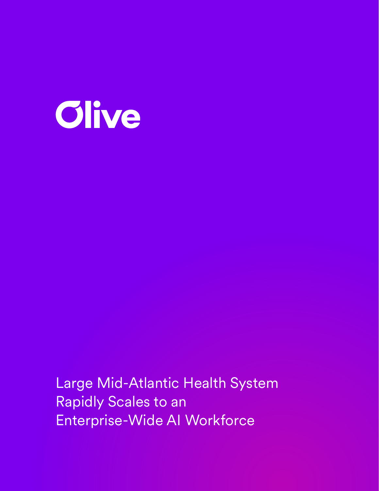

Large Mid-Atlantic Health System Rapidly Scales to an Enterprise-Wide AI Workforce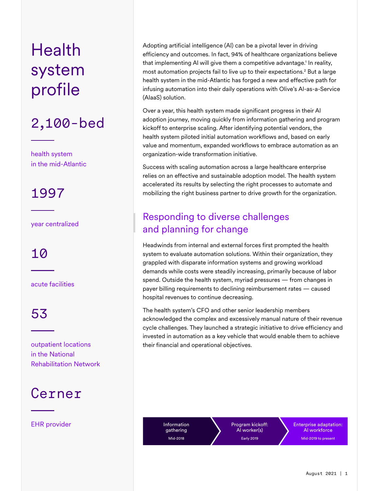# Health system profile

# 2,100-bed

health system in the mid-Atlantic

1997

year centralized

10

acute facilities

## 53

outpatient locations in the National Rehabilitation Network

# Cerner

#### EHR provider and the state of the Information

Adopting artificial intelligence (Al) can be a pivotal lever in driving efficiency and outcomes. In fact, 94% of healthcare organizations believe that implementing AI will give them a competitive advantage.<sup>1</sup> In reality, most automation projects fail to live up to their expectations.2 But a large health system in the mid-Atlantic has forged a new and effective path for infusing automation into their daily operations with Olive's Al-as-a-Service (AlaaS) solution.

Over a year, this health system made significant progress in their Al adoption journey, moving quickly from information gathering and program kickoff to enterprise scaling. After identifying potential vendors, the health system piloted initial automation workflows and, based on early value and momentum, expanded workflows to embrace automation as an organization-wide transformation initiative.

Success with scaling automation across a large healthcare enterprise relies on an effective and sustainable adoption model. The health system accelerated its results by selecting the right processes to automate and mobilizing the right business partner to drive growth for the organization.

## Responding to diverse challenges and planning for change

Headwinds from internal and external forces first prompted the health system to evaluate automation solutions. Within their organization, they grappled with disparate information systems and growing workload demands while costs were steadily increasing, primarily because of labor spend. Outside the health system, myriad pressures — from changes in payer billing requirements to declining reimbursement rates — caused hospital revenues to continue decreasing.

The health system's CFO and other senior leadership members acknowledged the complex and excessively manual nature of their revenue cycle challenges. They launched a strategic initiative to drive efficiency and invested in automation as a key vehicle that would enable them to achieve their financial and operational objectives.

> gathering Mid-2018

Program kickoff: Al worker(s) Early 2019

Enterprise adaptation: Al workforce Mid-2019 to present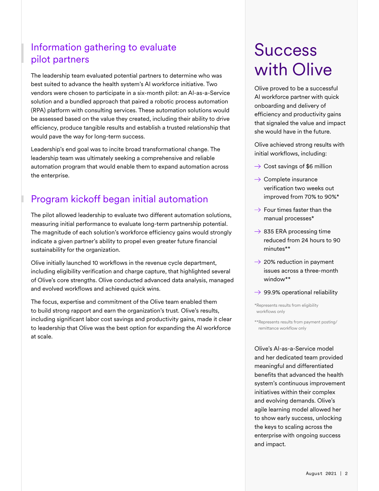### Information gathering to evaluate pilot partners

The leadership team evaluated potential partners to determine who was best suited to advance the health system's Al workforce initiative. Two vendors were chosen to participate in a six-month pilot: an Al-as-a-Service solution and a bundled approach that paired a robotic process automation (RPA) platform with consulting services. These automation solutions would be assessed based on the value they created, including their ability to drive efficiency, produce tangible results and establish a trusted relationship that would pave the way for long-term success.

Leadership's end goal was to incite broad transformational change. The leadership team was ultimately seeking a comprehensive and reliable automation program that would enable them to expand automation across the enterprise.

## Program kickoff began initial automation

The pilot allowed leadership to evaluate two different automation solutions, measuring initial performance to evaluate long-term partnership potential. The magnitude of each solution's workforce efficiency gains would strongly indicate a given partner's ability to propel even greater future financial sustainability for the organization.

Olive initially launched 10 workflows in the revenue cycle department, including eligibility verification and charge capture, that highlighted several of Olive's core strengths. Olive conducted advanced data analysis, managed and evolved workflows and achieved quick wins.

The focus, expertise and commitment of the Olive team enabled them to build strong rapport and earn the organization's trust. Olive's results, including significant labor cost savings and productivity gains, made it clear to leadership that Olive was the best option for expanding the Al workforce at scale.

# **Success** with Olive

Olive proved to be a successful Al workforce partner with quick onboarding and delivery of efficiency and productivity gains that signaled the value and impact she would have in the future.

Olive achieved strong results with initial workflows, including:

- $\rightarrow$  Cost savings of \$6 million
- $\rightarrow$  Complete insurance verification two weeks out improved from 70% to 90%\*
- $\rightarrow$  Four times faster than the manual processes\*
- $\rightarrow$  835 ERA processing time reduced from 24 hours to 90 minutes\*\*
- $\rightarrow$  20% reduction in payment issues across a three-month window\*\*
- $\rightarrow$  99.9% operational reliability

\*Represents results from eligibility workflows only

\*\*Represents results from payment posting/ remittance workflow only

Olive's Al-as-a-Service model and her dedicated team provided meaningful and differentiated benefits that advanced the health system's continuous improvement initiatives within their complex and evolving demands. Olive's agile learning model allowed her to show early success, unlocking the keys to scaling across the enterprise with ongoing success and impact.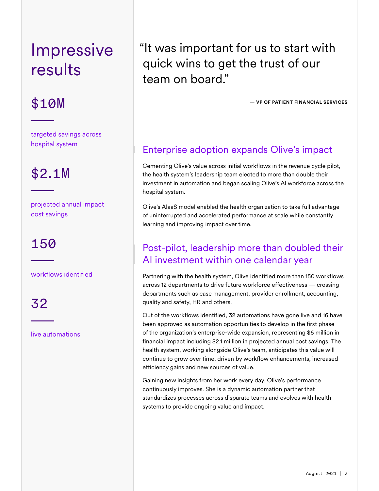# Impressive results

targeted savings across hospital system

\$2.1M

projected annual impact cost savings

## 150

workflows identified

32

live automations

"It was important for us to start with quick wins to get the trust of our team on board."

\$10M **— VP OF PATIENT FINANCIAL SERVICES**

## Enterprise adoption expands Olive's impact

Cementing Olive's value across initial workflows in the revenue cycle pilot, the health system's leadership team elected to more than double their investment in automation and began scaling Olive's Al workforce across the hospital system.

Olive's AlaaS model enabled the health organization to take full advantage of uninterrupted and accelerated performance at scale while constantly learning and improving impact over time.

## Post-pilot, leadership more than doubled their AI investment within one calendar year

Partnering with the health system, Olive identified more than 150 workflows across 12 departments to drive future workforce effectiveness — crossing departments such as case management, provider enrollment, accounting, quality and safety, HR and others.

Out of the workflows identified, 32 automations have gone live and 16 have been approved as automation opportunities to develop in the first phase of the organization's enterprise-wide expansion, representing \$6 million in financial impact including \$2.1 million in projected annual cost savings. The health system, working alongside Olive's team, anticipates this value will continue to grow over time, driven by workflow enhancements, increased efficiency gains and new sources of value.

Gaining new insights from her work every day, Olive's performance continuously improves. She is a dynamic automation partner that standardizes processes across disparate teams and evolves with health systems to provide ongoing value and impact.